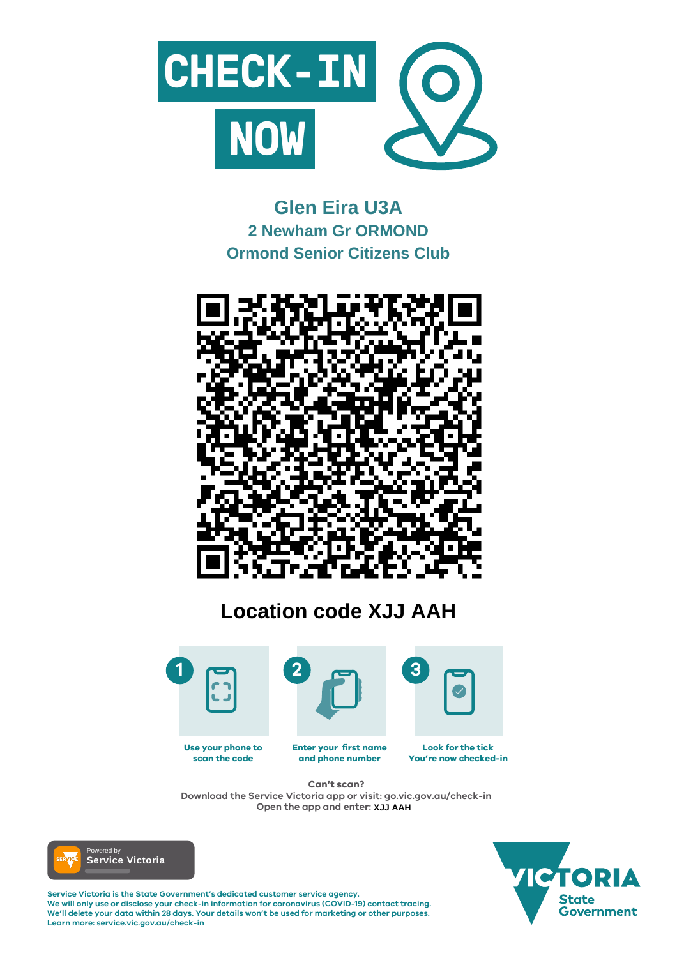

#### **Enter your first name and phone number Look for the tick You're now checked-in Use your phone to scan the code**

**Service Victoria is the State Government's dedicated customer service agency. We will only use or disclose your check-in information for coronavirus (COVID-19) contact tracing. We'll delete your data within 28 days. Your details won't be used for marketing or other purposes. Learn more: service.vic.gov.au/check-in**





## **Can't scan?**

**Download the Service Victoria app or visit: go.vic.gov.au/check-in Open the app and enter: XJJ AAH**



# **Glen Eira U3A 2 Newham Gr ORMOND Ormond Senior Citizens Club**



# **Location code XJJ AAH**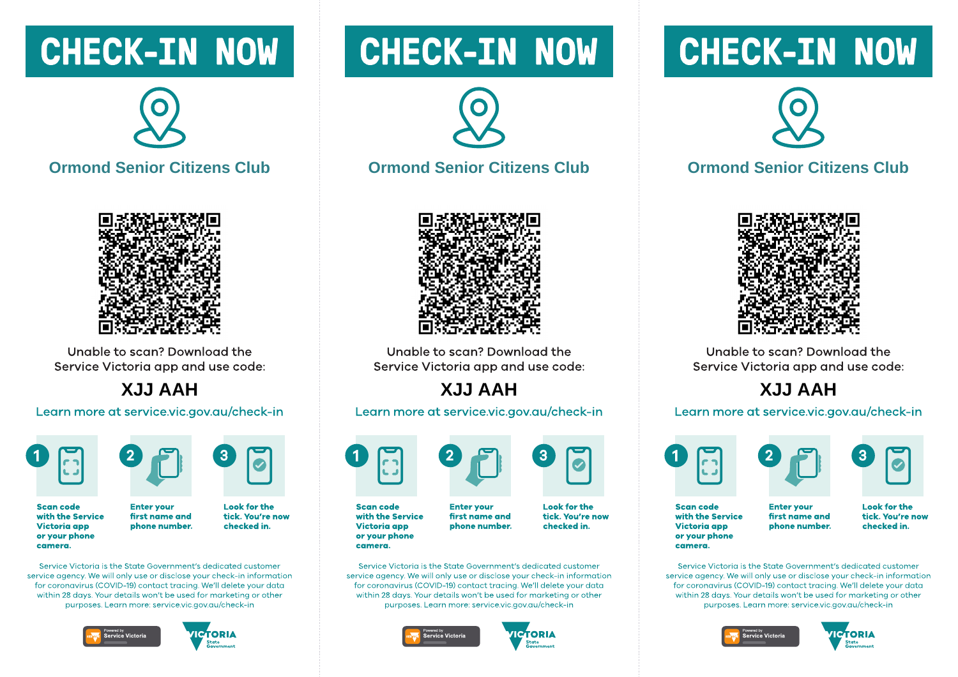## **CHECK-IN NOW**



**Ormond Senior Citizens Club** 



Unable to scan? Download the Service Victoria app and use code:

**HAA LLX** 

Learn more at service.vic.gov.au/check-in





**Scan code** with the Service **Victoria app** or your phone camera.

**Look for the** tick. You're now first name and phone number. checked in.

Service Victoria is the State Government's dedicated customer service gaency. We will only use or disclose your check-in information for coronavirus (COVID-19) contact tracing. We'll delete your data within 28 days. Your details won't be used for marketing or other purposes. Learn more: service.vic.gov.gu/check-in

**Enter vour** 





# **CHECK-IN NOW**



#### **Ormond Senior Citizens Club**



Unable to scan? Download the Service Victoria app and use code:

### **HAA LLX**

Learn more at service.vic.gov.au/check-in



**Scan code** with the Service **Victoria** app or your phone camera.

**Enter vour** first name and phone number.

**Look for the** tick. You're now checked in.

Service Victoria is the State Government's dedicated customer service gaency. We will only use or disclose your check-in information for coronavirus (COVID-19) contact tracing. We'll delete your data within 28 days. Your details won't be used for marketing or other purposes. Learn more: service.vic.gov.gu/check-in





# **CHECK-IN NOW**



#### **Ormond Senior Citizens Club**



Unable to scan? Download the Service Victoria app and use code:

### **HAA LLX**

#### Learn more at service.vic.gov.au/check-in





**Scan code** with the Service **Victoria app** or your phone camera.

**Enter vour** first name and phone number. **Look for the** tick. You're now checked in.

Service Victoria is the State Government's dedicated customer service gaency. We will only use or disclose your check-in information for coronavirus (COVID-19) contact tracing. We'll delete your data within 28 days. Your details won't be used for marketing or other purposes. Learn more: service.vic.gov.gu/check-in